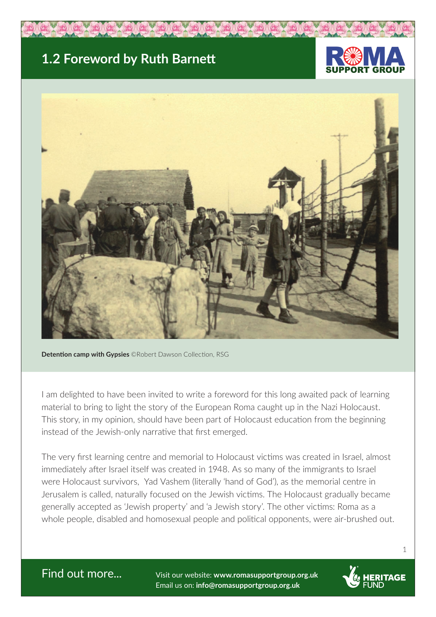## **1.2 Foreword by Ruth Barnett**





**Detention camp with Gypsies** ©Robert Dawson Collection, RSG

I am delighted to have been invited to write a foreword for this long awaited pack of learning material to bring to light the story of the European Roma caught up in the Nazi Holocaust. This story, in my opinion, should have been part of Holocaust education from the beginning instead of the Jewish-only narrative that first emerged.

The very first learning centre and memorial to Holocaust victims was created in Israel, almost immediately after Israel itself was created in 1948. As so many of the immigrants to Israel were Holocaust survivors, Yad Vashem (literally 'hand of God'), as the memorial centre in Jerusalem is called, naturally focused on the Jewish victims. The Holocaust gradually became generally accepted as 'Jewish property' and 'a Jewish story'. The other victims: Roma as a whole people, disabled and homosexual people and political opponents, were air-brushed out.

Find out more... Visit our website: **www.romasupportgroup.org.uk** Email us on: **info@romasupportgroup.org.uk**